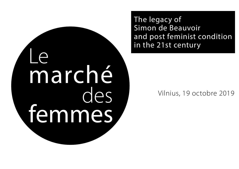Le marché des femmes The legacy of Simon de Beauvoir and post feminist condition in the 21st century

## Vilnius, 19 octobre 2019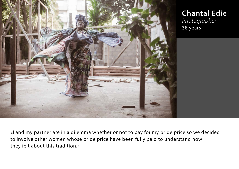

**Chantal Edie** *Photographer* 38 years

«I and my partner are in a dilemma whether or not to pay for my bride price so we decided to involve other women whose bride price have been fully paid to understand how they felt about this tradition.»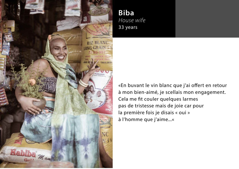

**Biba** *House wife* 33 years

«En buvant le vin blanc que j'ai offert en retour à mon bien-aimé, je scellais mon engagement. Cela me fit couler quelques larmes pas de tristesse mais de joie car pour la première fois je disais « oui » à l'homme que j'aime...«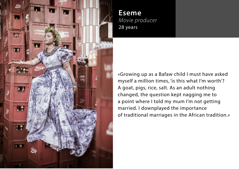

**Eseme** *Movie producer* 28 years

«Growing up as a Bafaw child I must have asked myself a million times, 'is this what I'm worth'? A goat, pigs, rice, salt. As an adult nothing changed, the question kept nagging me to a point where I told my mum I'm not getting married. I downplayed the importance of traditional marriages in the African tradition.»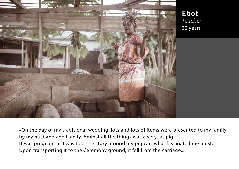

**Ebot** *Teacher* 32 years

«On the day of my traditional wedding, lots and lots of items were presented to my family by my husband and Family. Amidst all the things was a very fat pig. It was pregnant as I was too. The story around my pig was what fascinated me most. Upon transporting it to the Ceremony ground, it fell from the carriage.»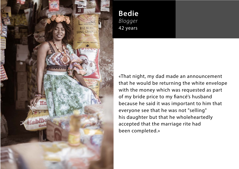

**Bedie** *Blogger* 42 years

«That night, my dad made an announcement that he would be returning the white envelope with the money which was requested as part of my bride price to my fiancé's husband because he said it was important to him that everyone see that he was not "selling" his daughter but that he wholeheartedly accepted that the marriage rite had been completed.»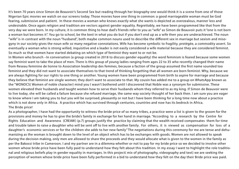It's been 70 years since Simon de Beauvoir's Second Sex but reading through her biography one would think it is a scene from one of those Nigerian Epic movies we watch on our screens today. Those movies have one thing in common: a good marriageable woman must be God fearing, submissive and patient. In these movies a woman who knows exactly what she wants is depicted as overzealous, manner less and undesirable. Once again religion and tradition are vectors against gender equality. Regrettably, we have been programmed like that from the very day we were born. In my culture, it is common thing to hear dad's friends refer to you as "wife" as Simon de Beauvoir puts it "one is not born a woman but becomes it". You go to school, be the best in what you do but if you don't end up as a wife then you are underachieved. The noun "wife" is in contrast with the noun "husband", both maybe common nouns used to describe the different sex in marriage but sexism and misogyny in our society gives the noun wife so many negative connotations. Wife has become symbolic to fragility, protégée, a commodity assert. So eventually a woman who is strong willed, inquisitive and a leader is not easily considered a wife material because they are considered feminist. So much so that women have started debating on which type of feminist they want to or not be.

In Women who brunch –In conversation (a group created in 2018 to discuss gender equality) the word feminism is feared because some women say feminist want to take the place of men. There is this group of young ladies ranging from ages 22 to 35 who recently changed their name from Reseau feminine de lionne to Association leadership des femmes, because a faction of the group assumed the first name sounded too feminist and they did not want to associate themselves to that trend of thinking forgetting that all women are born feminist. Why, because we are always fighting for our rights to one thing or another. Young women have been programmed from birth to aspire for marriage and because they believe that feminist are single women; they don't want to associate to that. My cousin has added me to a group on WhatsApp known as the "WONOCS( Women of noble character) mind you I wasn't bothered until I discovered that Noble was a synonym for submissive. These women elevated their husbands and taught women how to serve their husbands whom they referred to as my king. If Simon de Beauvoir were to live today, she will be called a failure because she refused marriage, the same way society thought of her back then. I am sure you are eager to know where I am taking you to but you will be surprised, pleasantly or not but I have been thinking for a long time now about a practice which is not done only in Africa. A practice which has survived through centuries, countries and now has its bedrock in Africa. The Bride price!

As a photographer, I have had the opportunity to witness the bride price of so many tribes, a practice were a list is given to the groom for the provisions and money he has to give the bride's family in exchange for her hand in marriage. "According to a research by the Centre for Rights Education and Awareness (CREAW) (p.7) groups justify the practice by claiming that the wealth received compensates them for time and trouble taken to raise a daughter who will be sent off to live with another family. For others, it is viewed as compensation for loss of a daughter's economic services or for the children she adds to her new family" The negotiations during this ceremony for me are tense and dehumanizing as the woman is brought down to the level of an object which has to be exchanges with goods. Women are not allowed to speak during the decision making, only men are allowed to share the proceeds and they would allocate what is given to the women in the family as per the Bakossi tribe in Cameroon. I and my partner are in a dilemma whether or not to pay for my bride price so we decided to involve other women whose bride price have been fully paid to understand how they felt about this tradition. In my essay I want to highlight the role traditional and religious beliefs play in gender equality in marriages. In this project( mix of photography, videography and text) we are seeking the perception of women whose bride price have been fully performed in a bid to understand how they felt on the day their Bride price was paid.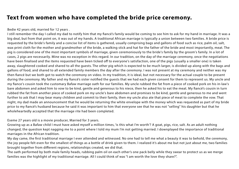### **Text from women who have completed the bride price ceremony.**

Bedie 42 years old, married for 12 years .

I still remember the day I called my dad to notify him that my fiancé's family would be coming to see him to ask for my hand in marriage. It was a big deal, but from that point on, it was out of my hands. A traditional African marriage is typically a union between two families. A bride price is requested by the bride's family and a concise list of items is gathered, usually comprising bags and gallons of food such as rice, palm oil, salt, wax print cloth for the mother and grandmother of the bride, a walking stick and hat for the father of the bride and most importantly, meat. The pig is considered one of the most important symbols of marriage, given ceremoniously to the bride's family by the groom's family. In a lot of cases, 2 pigs are necessarily. Mine was no exception in this regard. In our tradition, on the day of the marriage ceremony, once the negotiations have been finalised and the items requested have been ticked off to everyone's satisfaction, one of the pigs (usually a smaller one) is taken away, slaughtered cooked and shared to all the guests. The other pig which is expected to be much larger, is divided up along with the bags and gallons of food, and shared to all extended family members the day after the ceremony. I was not present at my ceremony and neither was my then fiancé but we both got to watch the ceremony on video. In my tradition, it is ideal, but not necessary for the actual couple to be present during the ceremony. My father and my fiancé's sister notified the guests that we had each given consent for them to represent us. My uncle and my fiance's cousin took the customary Bafaw marriage oath for our families. My uncle rubbed the fat from a piece of cooked pork on his in-law's bare abdomen and asked him to vow to be kind, gentle and generous to his niece, then he asked his to eat the meat. My fiancé's cousin in turn rubbed the fat from another piece of cooked pork on my uncle's bare abdomen and promises to be kind, gentle and generous to me and went further to ask that I may bear many children and commit to their family, then my uncle also ate that piece of meat to complete the vow. That night, my dad made an announcement that he would be returning the white envelope with the money which was requested as part of my bride price to my fiancé's husband because he said it was important to him that everyone see that he was not "selling" his daughter but that he wholeheartedly accepted that the marriage rite had been completed.

Eseme 27 years old is a movie producer, Married for 3 years.

Growing up as a Bafaw child I must have asked myself a million times, 'is this what I'm worth'? A goat, pigs, rice, salt. As an adult nothing changed, the question kept nagging me to a point where I told my mum I'm not getting married. I downplayed the importance of traditional marriages in the African tradition.

My day came, the first traditional marriage I ever attended and witnessed. No one had to tell me what a beauty it was to behold, the ceremony, the joy people felt even for the smallest of things as a bottle of drink given to them. I realized it's about me but not just about me, two families brought together from different regions, relationships created, we did that.

The oath performed by both male family heads, rubbing palm oil on each other's one pack belly while they swear to protect us as we merge families was the highlight of my traditional marriage. All I could think of was "I am worth the love they share?".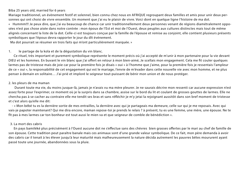#### Biba 25 years old, married for 6 years

Mariage traditionnel, un évènement festif et solennel, bien connu chez nous en AFRIQUE regroupant deux familles et amis pour unir deux personnes qui ont choisi de vivre ensemble. Un moment que j'ai eu le plaisir de vivre. Voici dont en quelque ligne l'histoire de ma dot.

« Hummm!!! Je peux dire, que j'ai eu beaucoup de chance car unir traditionnellement deux personnes venant de régions diamétralement opposées n'est pas chose aisée dans notre contrée : mon époux de l'Est et moi de l'Ouest, deux peuples aux cultures distinctes mais tout de même alignés concernant la liste de la dot. Celle-ci est toujours conçue par la famille de l'épouse et remise au conjoint, elle contient plusieurs présents symboliques que l'époux devra rapporter le jour du dît événement.

Ma dot pourrait se résumer en trois faits qui m'ont particulièrement marquée. »

#### 1. le partage de la kola et de la dégustation du vin blanc.

 Ce rituel, très important et purement symbolique représente le moment précis où j'ai accepté de m'unir à mon partenaire pour la vie devant DIEU et les hommes. En buvant le vin blanc que j'ai offert en retour à mon bien-aimé, Je scellais mon engagement. Cela me fit couler quelques larmes pas de tristesse mais de joie car pour la première fois je disais « oui » à l'homme que j'aime, pour la première fois je ressentais l'ampleur de ce « oui », la responsabilité de cet engagement qui est le mariage, l'envie de m'évader dans cette nouvelle vie avec mon homme, et ne plus penser à demain en solitaire… J'ai prié et imploré le seigneur tout-puissant de bénir mon union et de nous protéger.

#### 2. les pleurs de ma maman

 Durant toute ma vie, du moins jusque-là, jamais je n'avais vu ma mère pleurer. Je ne saurais décrire mon ressenti car aucune expression n'est assez forte pour l'exprimer, ce moment où je la surpris dans sa chambre, assise sur le bord du lit et coulant de grosses gouttes de larmes. Elle ne chercha pas à se cacher au contraire elle me tendit ses bras et sans rééchir je m'y jetai la rejoignant aussitôt dans son bref moment de tristesse et c'est alors qu'elle me dit:

 - « Mon bébé tu es la dernière sortie de mes entrailles, la dernière avec qui je partageais ma demeure, celle sur qui je me reposais. Avec qui vais-je papoter maintenant? Qui me dira encore, maman repose-toi je prends le relais ? à présent, tu es une femme, une mère, une épouse. Ne te fît pas à mes larmes car ton bonheur est tout aussi le mien va et que seigneur de comble de bénédiction ».

#### 3. La mort des cabris

En pays bamiléké plus précisément à l'Ouest aucune dot ne s'effectue sans des chèvres bien grasses offertes par le mari au chef de famille de son épouse. Cette tradition peut paraître banale mais ces animaux sont d'une grande valeur symbolique. De ce fait, mon père demanda à avoir des cabris car il tenait à les élever jusqu'à leur maturité mais malheureusement la nature décida autrement les pauvres bêtes moururent ayant passé toute une journée, abandonnées sous la pluie.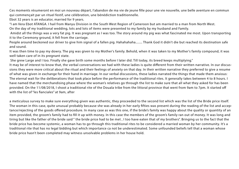Ces moments résumeront en moi un nouveau départ, l'abandon de ma vie de jeune fille pour une vie nouvelle, une belle aventure en commun qui commençait par un rituel festif, une célébration, une bénédiction traditionnelle.

Ebot 32 years is an educator, married for 9 years.

"I am Vera Ebot ATANGA. I hail from Manyu Division in the South West Region of Cameroon but am married to a man from North West.

On the day of my traditional wedding, lots and lots of items were presented to my family by my husband and Family.

 Amidst all the things was a very fat pig. It was pregnant as I was too. The story around my pig was what fascinated me most. Upon transporting it to the Ceremony ground, it fell from the carriage.

People around beckoned our driver to give him signal of a fallen pig. Hahahahaha........ Thank God it didn't die but reached its destination safe and sound.

It was then time to pay my dowry. The pig was given to my Mother's family. Behold, when it was taken to my Mother's family compound, it was well taken care of in its pregnant state.

She grew Large and I too. Finally she gave birth some months before I later did. Till today, its breed keeps multiplying."

It may be of interest to know that, the verbal conversations we had with these ladies is quite different from their written narrative. In our discussions they were more critical about the ritual and their feelings of anxiety on that day. In their written narrative they preferred to give a resume of what was given in exchange for their hand in marriage. In our verbal discussions, these ladies narrated the things that made them anxious: The eternal wait for the deliberations that took place before the performance of the traditional rites. It generally takes between 4 to 8 hours. I have named that the merchandising phase where the woman's relatives go through the list to make sure that all what they asked for has been provided. On the 11/08/2018, I shoot a traditional rite of the Douala tribe from the littoral province that went from 9am to 7pm. It started off with the list of "les fianciales" at 9am, after

a meticulous survey to make sure everything given was authentic, they proceeded to the second list which was the list of the Bride price itself. The woman in this case, quite unusual probably because she was already in her early fifties was present during the reading of the list and acceptance/rejecting of the goods offered procedure. In many case as was this one, if the bride's family was happy about the quality or quantity of an item provided, the groom's family had to fill it up with money. In this case the members of the groom's family ran out of money. It was long and tiring but like the father of the bride said " the bride price had to be met , I too have eaten that of my brothers". Bringing us to the fact that the bride price has become systemic, a woman has to go through this traditional rites to be considered a married woman by her community. It's a traditional rite that has no legal bidding but which importance ca not be underestimated. Some unfounded beliefs tell that a woman whose bride price hasn't been completed may witness unsolvable problems in her house hold.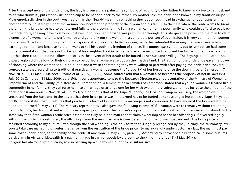After the acceptance of the bride price, the lady is given a glass palm wine symbolic of fecundity by her father to kneel and give to her husband to be who drinks it , puts money inside the cup to be handed back to the father. My mother says the bride price known in my tradition (Kupe Muanenguba division in the southwest region) as the "Ngabb" meaning something they put on your head in exchange for your transfer into another family. So literally meant the woman now became the property of the groom and his family. In the case where the bride wants to break the union, the bride price had to be returned fully to the groom's family. So if a woman came from a poor family who couldn't afford to pay back the bride price, she may have to stay in whatever condition her marriage was putting her through. This rite gave the powers to the man to claim ownership of a woman after its performance and generally put the woman in a vulnerable positon of submission. It is very common for women to proclaim "thanks for honoring me" to their spouse after this ritual. In Bedie's case, her father refunded the money that was given to him in exchange for her hand because he didn't want to sell his daughters freedom of choice. The money was symbolic, but its symbolism had some hidden connotations that were not in favour of his daughter. Ebot in her verbal narrative recounted her upset her husband's family where to find out that their tradition did not allow her corps in the advent of her death to be buried at her husband's village. The Bayangi people of the southwest region didn't allow for their children to be buried anywhere else but on their native land. The tradition of the bride price gave the power of choosing where the woman should be buried and it wasn't something they were willing to part with after paying the bride price. "Several sources state that, according to traditional practices, a woman becomes the "property" of her husband once the dowry is paid (Cameroon 17 Nov. 2014; US 11 Mar. 2008, sect. 5; WIRA et al. [2009], 13, 45). Some sources add that a woman also becomes the property of her in-laws (VSO 2 July 2013; Cameroon 11 May 2009, para. 54). In correspondence sent to the Research Directorate, a representative of the Ministry of Women's Empowerment and the Family (ministère de la Promotion de la femme et de la Famille) of Cameroon, stated that a young woman is treated like a commodity in her family: they can force her into a marriage or arrange one for her with two or more suitors, and thus increase the amount of the bride price (Cameroon 17 Nov. 2014). " In my tradition that is that of the Kupe Muanenguba Division, Bangem precisely, the woman even if separated from the husband, in the advert that their bride price wasn't returned has to be buried at her estranged husband's village. Encyclopedia Britannica states that in cultures that practice this form of bride wealth, a marriage is not considered to have ended if the bride wealth has not been returned (3 May 2014). The Ministry representative also gave the following example:" if a woman were to remarry without refunding her bride price, her first husband would have property rights over the woman's corpse (upon her death), rather than her current husband." In the same way that if the woman's bride price hasn't been fully paid, the man cannot claim ownership of her or her offspring's. If divorced legally without the bride price refunded, the offspring's from the new marriage is considered that of the former husband until the bride price is returned according to my culture. Even though the civil wedding is the only form that is legally recognized by the judiciary, the customary law courts take care managing disputes that arise from the restitution of the bride price. "to marry validly under customary law, the man must pay some token (bride price) to the family of the bride" (Cameroon 11 May 2009, para. 60). According to Encyclopedia Britannica, in some cultures, particularly in Africa, bridewealth is a payment made in cash or goods by a groom to the kin of the bride [1] (3 May 2014). Religion has always played a strong role in backing up while women ought to be submissive.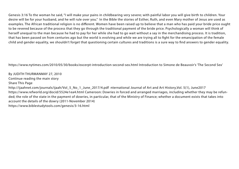Genesis 3:16 To the woman he said, "I will make your pains in childbearing very severe; with painful labor you will give birth to children. Your desire will be for your husband, and he will rule over you." In the Bible the stories of Esther, Ruth, and even Mary mother of Jesus are used as examples. The African traditional religion is no different. Women have been raised up to believe that a man who has paid your bride price ought to be revered because of the process that they go through the traditional payment of the bride price. Psychologically a woman will think of herself unequal to the man because he had to pay for her while she had to go wait without a say in the merchandising process. It is tradition, that has been passed on from centuries ago but the world is evolving and while we are trying all to fight for the emancipation of the female child and gender equality, we shouldn't forget that questioning certain cultures and traditions is a sure way to find answers to gender equality.

https://www.nytimes.com/2010/05/30/books/excerpt-introduction-second-sex.html Introduction to Simone de Beauvoir's 'The Second Sex'

By JUDITH THURMANMAY 27, 2010 Continue reading the main story Share This Page http://ijaahnet.com/journals/ijaah/Vol\_5\_No\_1\_June\_2017/4.pdf nternational Journal of Art and Art History,Vol. 5(1), June2017 https://www.refworld.org/docid/5524e1ea4.html Cameroon: Dowries in forced and arranged marriages, including whether they may be refunded; the role of the state in the payment of dowries, in particular, that of the Ministry of Finance; whether a document exists that takes into account the details of the dowry (2011-November 2014) https://www.biblestudytools.com/genesis/3-16.html